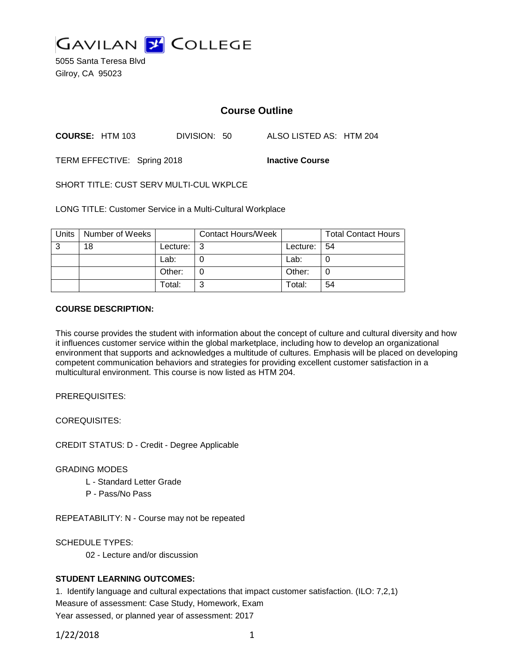

5055 Santa Teresa Blvd Gilroy, CA 95023

# **Course Outline**

**COURSE:** HTM 103 DIVISION: 50 ALSO LISTED AS: HTM 204

TERM EFFECTIVE: Spring 2018 **Inactive Course**

SHORT TITLE: CUST SERV MULTI-CUL WKPLCE

LONG TITLE: Customer Service in a Multi-Cultural Workplace

| Units | Number of Weeks |          | <b>Contact Hours/Week</b> |             | <b>Total Contact Hours</b> |
|-------|-----------------|----------|---------------------------|-------------|----------------------------|
| -3    | 18              | Lecture: | . ૧                       | Lecture: 54 |                            |
|       |                 | Lab:     |                           | Lab:        |                            |
|       |                 | Other:   |                           | Other:      |                            |
|       |                 | Total:   | ⌒                         | Total:      | 54                         |

### **COURSE DESCRIPTION:**

This course provides the student with information about the concept of culture and cultural diversity and how it influences customer service within the global marketplace, including how to develop an organizational environment that supports and acknowledges a multitude of cultures. Emphasis will be placed on developing competent communication behaviors and strategies for providing excellent customer satisfaction in a multicultural environment. This course is now listed as HTM 204.

PREREQUISITES:

COREQUISITES:

CREDIT STATUS: D - Credit - Degree Applicable

GRADING MODES

- L Standard Letter Grade
- P Pass/No Pass

REPEATABILITY: N - Course may not be repeated

SCHEDULE TYPES:

02 - Lecture and/or discussion

## **STUDENT LEARNING OUTCOMES:**

1. Identify language and cultural expectations that impact customer satisfaction. (ILO: 7,2,1) Measure of assessment: Case Study, Homework, Exam Year assessed, or planned year of assessment: 2017

1/22/2018 1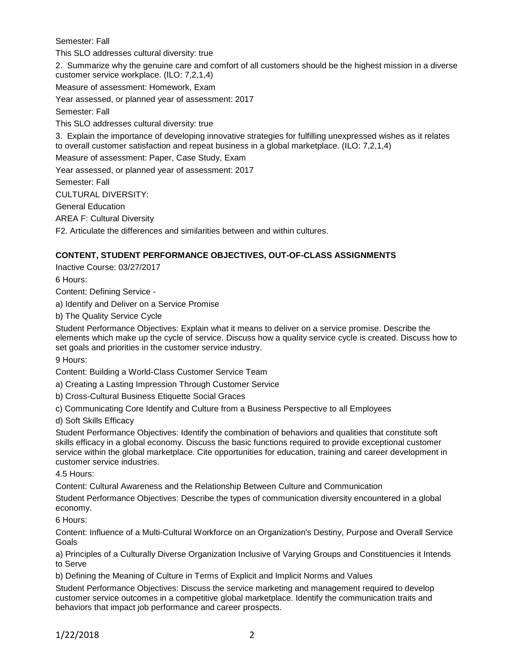Semester: Fall

This SLO addresses cultural diversity: true

2. Summarize why the genuine care and comfort of all customers should be the highest mission in a diverse customer service workplace. (ILO: 7,2,1,4)

Measure of assessment: Homework, Exam

Year assessed, or planned year of assessment: 2017

Semester: Fall

This SLO addresses cultural diversity: true

3. Explain the importance of developing innovative strategies for fulfilling unexpressed wishes as it relates to overall customer satisfaction and repeat business in a global marketplace. (ILO: 7,2,1,4)

Measure of assessment: Paper, Case Study, Exam

Year assessed, or planned year of assessment: 2017

Semester: Fall

CULTURAL DIVERSITY:

General Education

AREA F: Cultural Diversity

F2. Articulate the differences and similarities between and within cultures.

## **CONTENT, STUDENT PERFORMANCE OBJECTIVES, OUT-OF-CLASS ASSIGNMENTS**

Inactive Course: 03/27/2017

6 Hours:

Content: Defining Service -

a) Identify and Deliver on a Service Promise

b) The Quality Service Cycle

Student Performance Objectives: Explain what it means to deliver on a service promise. Describe the elements which make up the cycle of service. Discuss how a quality service cycle is created. Discuss how to set goals and priorities in the customer service industry.

9 Hours:

Content: Building a World-Class Customer Service Team

a) Creating a Lasting Impression Through Customer Service

b) Cross-Cultural Business Etiquette Social Graces

c) Communicating Core Identify and Culture from a Business Perspective to all Employees

d) Soft Skills Efficacy

Student Performance Objectives: Identify the combination of behaviors and qualities that constitute soft skills efficacy in a global economy. Discuss the basic functions required to provide exceptional customer service within the global marketplace. Cite opportunities for education, training and career development in customer service industries.

4.5 Hours:

Content: Cultural Awareness and the Relationship Between Culture and Communication

Student Performance Objectives: Describe the types of communication diversity encountered in a global economy.

6 Hours:

Content: Influence of a Multi-Cultural Workforce on an Organization's Destiny, Purpose and Overall Service Goals

a) Principles of a Culturally Diverse Organization Inclusive of Varying Groups and Constituencies it Intends to Serve

b) Defining the Meaning of Culture in Terms of Explicit and Implicit Norms and Values

Student Performance Objectives: Discuss the service marketing and management required to develop customer service outcomes in a competitive global marketplace. Identify the communication traits and behaviors that impact job performance and career prospects.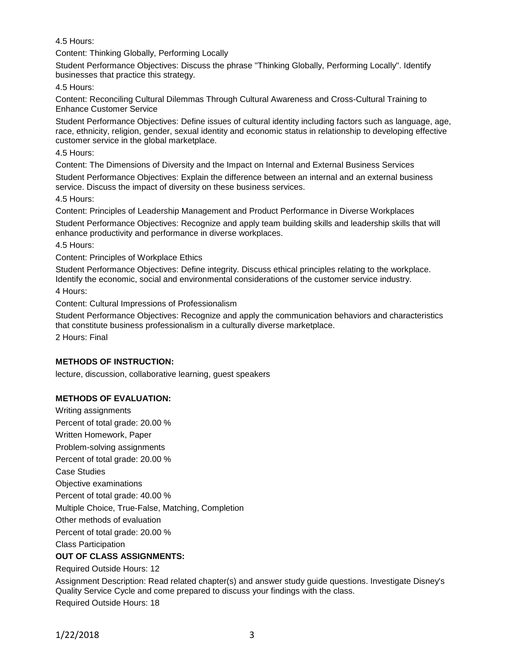4.5 Hours:

Content: Thinking Globally, Performing Locally

Student Performance Objectives: Discuss the phrase "Thinking Globally, Performing Locally". Identify businesses that practice this strategy.

4.5 Hours:

Content: Reconciling Cultural Dilemmas Through Cultural Awareness and Cross-Cultural Training to Enhance Customer Service

Student Performance Objectives: Define issues of cultural identity including factors such as language, age, race, ethnicity, religion, gender, sexual identity and economic status in relationship to developing effective customer service in the global marketplace.

4.5 Hours:

Content: The Dimensions of Diversity and the Impact on Internal and External Business Services

Student Performance Objectives: Explain the difference between an internal and an external business service. Discuss the impact of diversity on these business services.

4.5 Hours:

Content: Principles of Leadership Management and Product Performance in Diverse Workplaces

Student Performance Objectives: Recognize and apply team building skills and leadership skills that will enhance productivity and performance in diverse workplaces.

4.5 Hours:

Content: Principles of Workplace Ethics

Student Performance Objectives: Define integrity. Discuss ethical principles relating to the workplace. Identify the economic, social and environmental considerations of the customer service industry.

4 Hours:

Content: Cultural Impressions of Professionalism

Student Performance Objectives: Recognize and apply the communication behaviors and characteristics that constitute business professionalism in a culturally diverse marketplace.

2 Hours: Final

## **METHODS OF INSTRUCTION:**

lecture, discussion, collaborative learning, guest speakers

## **METHODS OF EVALUATION:**

Writing assignments Percent of total grade: 20.00 % Written Homework, Paper Problem-solving assignments Percent of total grade: 20.00 % Case Studies Objective examinations Percent of total grade: 40.00 % Multiple Choice, True-False, Matching, Completion Other methods of evaluation Percent of total grade: 20.00 % Class Participation

## **OUT OF CLASS ASSIGNMENTS:**

Required Outside Hours: 12

Assignment Description: Read related chapter(s) and answer study guide questions. Investigate Disney's Quality Service Cycle and come prepared to discuss your findings with the class. Required Outside Hours: 18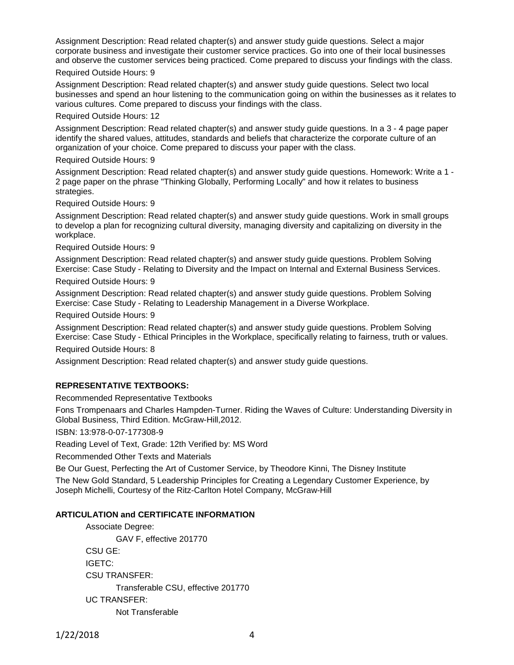Assignment Description: Read related chapter(s) and answer study guide questions. Select a major corporate business and investigate their customer service practices. Go into one of their local businesses and observe the customer services being practiced. Come prepared to discuss your findings with the class.

#### Required Outside Hours: 9

Assignment Description: Read related chapter(s) and answer study guide questions. Select two local businesses and spend an hour listening to the communication going on within the businesses as it relates to various cultures. Come prepared to discuss your findings with the class.

#### Required Outside Hours: 12

Assignment Description: Read related chapter(s) and answer study guide questions. In a 3 - 4 page paper identify the shared values, attitudes, standards and beliefs that characterize the corporate culture of an organization of your choice. Come prepared to discuss your paper with the class.

#### Required Outside Hours: 9

Assignment Description: Read related chapter(s) and answer study guide questions. Homework: Write a 1 - 2 page paper on the phrase "Thinking Globally, Performing Locally" and how it relates to business strategies.

Required Outside Hours: 9

Assignment Description: Read related chapter(s) and answer study guide questions. Work in small groups to develop a plan for recognizing cultural diversity, managing diversity and capitalizing on diversity in the workplace.

Required Outside Hours: 9

Assignment Description: Read related chapter(s) and answer study guide questions. Problem Solving Exercise: Case Study - Relating to Diversity and the Impact on Internal and External Business Services.

Required Outside Hours: 9

Assignment Description: Read related chapter(s) and answer study guide questions. Problem Solving Exercise: Case Study - Relating to Leadership Management in a Diverse Workplace.

Required Outside Hours: 9

Assignment Description: Read related chapter(s) and answer study guide questions. Problem Solving Exercise: Case Study - Ethical Principles in the Workplace, specifically relating to fairness, truth or values.

Required Outside Hours: 8

Assignment Description: Read related chapter(s) and answer study guide questions.

## **REPRESENTATIVE TEXTBOOKS:**

Recommended Representative Textbooks

Fons Trompenaars and Charles Hampden-Turner. Riding the Waves of Culture: Understanding Diversity in Global Business, Third Edition. McGraw-Hill,2012.

ISBN: 13:978-0-07-177308-9

Reading Level of Text, Grade: 12th Verified by: MS Word

Recommended Other Texts and Materials

Be Our Guest, Perfecting the Art of Customer Service, by Theodore Kinni, The Disney Institute The New Gold Standard, 5 Leadership Principles for Creating a Legendary Customer Experience, by Joseph Michelli, Courtesy of the Ritz-Carlton Hotel Company, McGraw-Hill

## **ARTICULATION and CERTIFICATE INFORMATION**

Associate Degree: GAV F, effective 201770 CSU GE: IGETC: CSU TRANSFER: Transferable CSU, effective 201770 UC TRANSFER: Not Transferable